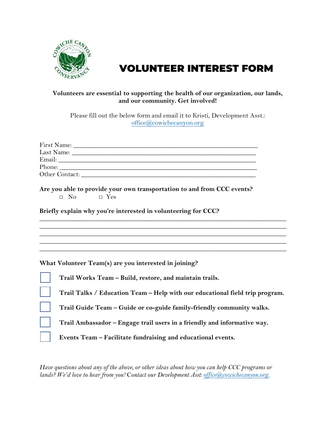

## VOLUNTEER INTEREST FORM

## **Volunteers are essential to supporting the health of our organization, our lands, and our community. Get involved!**

Please fill out the below form and email it to Kristi, Development Asst.: office@cowichecanyon.org

| First Name:    |  |
|----------------|--|
| Last Name:     |  |
| Email:         |  |
| Phone:         |  |
| Other Contact: |  |

**Are you able to provide your own transportation to and from CCC events?** □ No □ Yes

**Briefly explain why you're interested in volunteering for CCC?**

**What Volunteer Team(s) are you interested in joining?**

| Trail Works Team - Build, restore, and maintain trails.                      |
|------------------------------------------------------------------------------|
| Trail Talks / Education Team - Help with our educational field trip program. |
| Trail Guide Team – Guide or co-guide family-friendly community walks.        |
| Trail Ambassador - Engage trail users in a friendly and informative way.     |
| Events Team - Facilitate fundraising and educational events.                 |

**\_\_\_\_\_\_\_\_\_\_\_\_\_\_\_\_\_\_\_\_\_\_\_\_\_\_\_\_\_\_\_\_\_\_\_\_\_\_\_\_\_\_\_\_\_\_\_\_\_\_\_\_\_\_\_\_\_\_\_\_\_\_\_\_\_\_\_\_\_\_\_\_\_\_\_ \_\_\_\_\_\_\_\_\_\_\_\_\_\_\_\_\_\_\_\_\_\_\_\_\_\_\_\_\_\_\_\_\_\_\_\_\_\_\_\_\_\_\_\_\_\_\_\_\_\_\_\_\_\_\_\_\_\_\_\_\_\_\_\_\_\_\_\_\_\_\_\_\_\_\_**

**\_\_\_\_\_\_\_\_\_\_\_\_\_\_\_\_\_\_\_\_\_\_\_\_\_\_\_\_\_\_\_\_\_\_\_\_\_\_\_\_\_\_\_\_\_\_\_\_\_\_\_\_\_\_\_\_\_\_\_\_\_\_\_\_\_\_\_\_\_\_\_\_\_\_\_**

*Have questions about any of the above, or other ideas about how you can help CCC programs or lands? We'd love to hear from you!* C*ontact our Development Asst: office@cowichecanyon.org.*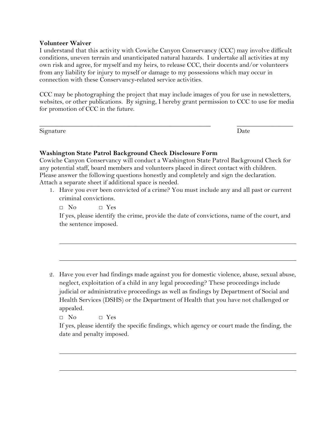## **Volunteer Waiver**

I understand that this activity with Cowiche Canyon Conservancy (CCC) may involve difficult conditions, uneven terrain and unanticipated natural hazards. I undertake all activities at my own risk and agree, for myself and my heirs, to release CCC, their docents and/or volunteers from any liability for injury to myself or damage to my possessions which may occur in connection with these Conservancy-related service activities.

CCC may be photographing the project that may include images of you for use in newsletters, websites, or other publications. By signing, I hereby grant permission to CCC to use for media for promotion of CCC in the future.

\_\_\_\_\_\_\_\_\_\_\_\_\_\_\_\_\_\_\_\_\_\_\_\_\_\_\_\_\_\_\_\_\_\_\_\_\_\_\_\_\_\_\_\_\_\_\_\_\_\_\_\_ \_\_\_\_\_\_\_\_\_\_\_\_\_\_\_\_\_

Signature Date Date Date Date Date

## **Washington State Patrol Background Check Disclosure Form**

Cowiche Canyon Conservancy will conduct a Washington State Patrol Background Check for any potential staff, board members and volunteers placed in direct contact with children. Please answer the following questions honestly and completely and sign the declaration. Attach a separate sheet if additional space is needed.

1. Have you ever been convicted of a crime? You must include any and all past or current criminal convictions.

 $\Box$  No  $\Box$  Yes

If yes, please identify the crime, provide the date of convictions, name of the court, and the sentence imposed.

2. Have you ever had findings made against you for domestic violence, abuse, sexual abuse, neglect, exploitation of a child in any legal proceeding? These proceedings include judicial or administrative proceedings as well as findings by Department of Social and Health Services (DSHS) or the Department of Health that you have not challenged or appealed.

□ No □ Yes

If yes, please identify the specific findings, which agency or court made the finding, the date and penalty imposed.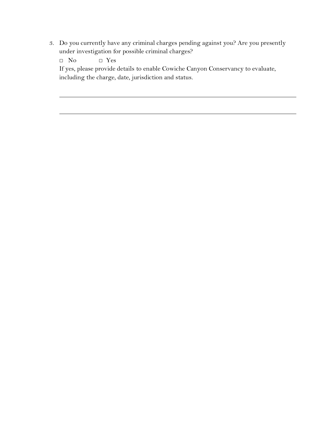3. Do you currently have any criminal charges pending against you? Are you presently under investigation for possible criminal charges?

□ No □ Yes

If yes, please provide details to enable Cowiche Canyon Conservancy to evaluate, including the charge, date, jurisdiction and status.